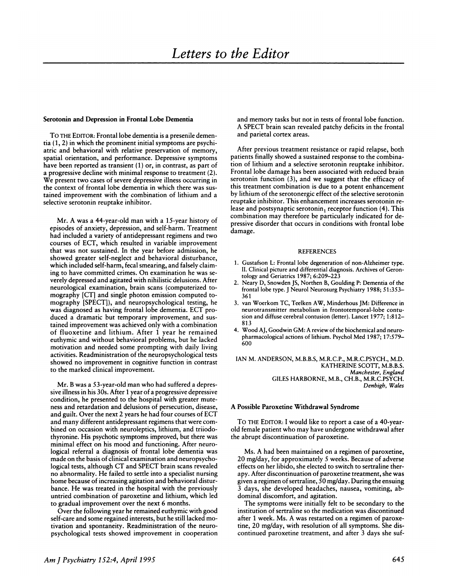### Serotonin and Depression in Frontal Lobe Dementia

To THE EDITOR: Frontal lobe dementia is a presenile dementia (1, 2) in which the prominent initial symptoms are psychiatric and behavioral with relative preservation of memory, spatial orientation, and performance. Depressive symptoms have been reported as transient  $(1)$  or, in contrast, as part of a progressive decline with minimal response to treatment (2). We present two cases of severe depressive illness occurring in the context of frontal lobe dementia in which there was sustamed improvement with the combination of lithium and a selective serotonin reuptake inhibitor.

Mr. A was a 44-year-old man with a 15-year history of episodes of anxiety, depression, and self-harm. Treatment had included a variety of antidepressant regimens and two courses of ECT, which resulted in variable improvement that was not sustained. In the year before admission, he showed greater self-neglect and behavioral disturbance, which included self-harm, fecal smearing, and falsely claiming to have committed crimes. On examination he was severely depressed and agitated with nihilistic delusions. After neurological examination, brain scans (computerized to mography [CT] and single photon emission computed to mography [SPECT]), and neuropsychological testing, he was diagnosed as having frontal lobe dementia. ECT produced a dramatic but temporary improvement, and sustained improvement was achieved only with a combination of fluoxetine and lithium. After 1 year he remained euthymic and without behavioral problems, but he lacked motivation and needed some prompting with daily living activities. Readministration of the neuropsychological tests showed no improvement in cognitive function in contrast to the marked clinical improvement.

Mr. B was a 53-year-old man who had suffered a depressive illness in his 30s. After 1 year of a progressive depressive condition, he presented to the hospital with greater mute ness and retardation and delusions of persecution, disease, and guilt. Over the next 2 years he had four courses of ECT and many different antidepressant regimens that were com bined on occasion with neuroleptics, lithium, and triiodothyronine. His psychotic symptoms improved, but there was minimal effect on his mood and functioning. After neurological referral a diagnosis of frontal lobe dementia was made on the basis of clinical examination and neuropsychological tests, although CT and SPECT brain scans revealed no abnormality. He failed to settle into a specialist nursing home because of increasing agitation and behavioral disturbance. He was treated in the hospital with the previously untried combination of paroxetine and lithium, which led to gradual improvement over the next 6 months.

Over the following year he remained euthymic with good self-care and some regained interests, but he still lacked motivation and spontaneity. Readministration of the neuro psychological tests showed improvement in cooperation

and memory tasks but not in tests of frontal lobe function. A SPECT brain scan revealed patchy deficits in the frontal and parietal cortex areas.

After previous treatment resistance or rapid relapse, both patients finally showed a sustained response to the combination of lithium and a selective serotonin reuptake inhibitor. Frontal lobe damage has been associated with reduced brain serotonin function (3), and we suggest that the efficacy of this treatment combination is due to a potent enhancement by lithium of the serotonergic effect of the selective serotonin reuptake inhibitor. This enhancement increases serotonin release and postsynaptic serotonin<sub>1</sub> receptor function (4). This combination may therefore be particularly indicated for depressive disorder that occurs in conditions with frontal lobe damage.

### **REFERENCES**

- 1. Gustafson L: Frontal lobe degeneration of non-Alzheimer type. II. Clinical picture and differential diagnosis. Archives of Gerontology and Geriatrics 1987; 6:209-223
- 2. Neary D, Snowden JS, Northen B, Goulding P: Dementia of the frontal lobe type. J Neurol Neurosung Psychiatry 1988; 51:353- 361
- 3. van Woerkom TC, Teelken AW, Minderhous JM: Difference in neurotransmitter metabolism in frontotemporal-lobe contusion and diffuse cerebral contusion (letter). Lancet 1977; 1:812- 813
- 4. Wood AJ, Goodwin GM: A review of the biochemical and neuropharmacological actions of lithium. Psychol Med 1987; 17:579-600

IAN M. ANDERSON, M.B.B.S, M.R.C.P., M.R.C.PSYCH., M.D. KATHERINE SCOTT, M.B.B.S. *Manchester, England* GILES HARBORNE, M.B., CH.B., M.R.C.PSYCH. *Denbigh, Wales*

# A Possible Paroxetine Withdrawal Syndrome

To THE EDITOR: I would like to report a case of a 40-yearold female patient who may have undergone withdrawal after the abrupt discontinuation of paroxetine.

Ms. A had been maintained on a regimen of paroxetine, 20 mg/day, for approximately S weeks. Because of adverse effects on her libido, she elected to switch to sertraline thenapy. After discontinuation of paroxetine treatment, she was given a regimen of sertraline, SO mg/day. During the ensuing 3 days, she developed headaches, nausea, vomiting, abdominal discomfort, and agitation.

The symptoms were initially felt to be secondary to the institution of sertraline so the medication was discontinued after 1 week. Ms. A was restarted on a regimen of paroxetine, 20 mg/day, with resolution of all symptoms. She discontinued paroxetine treatment, and after 3 days she suf